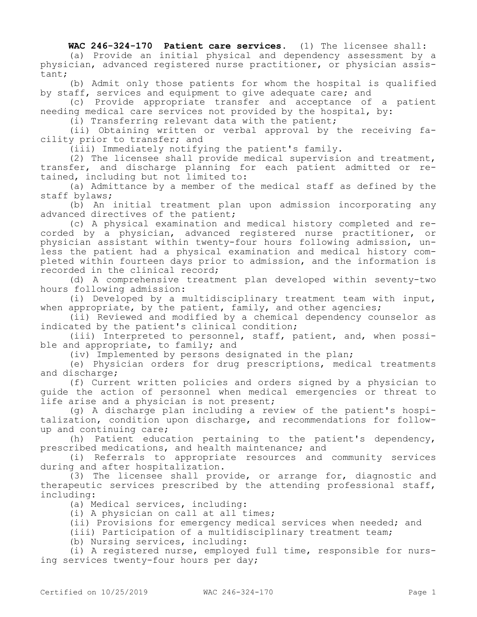**WAC 246-324-170 Patient care services.** (1) The licensee shall:

(a) Provide an initial physical and dependency assessment by a physician, advanced registered nurse practitioner, or physician assistant;

(b) Admit only those patients for whom the hospital is qualified by staff, services and equipment to give adequate care; and

(c) Provide appropriate transfer and acceptance of a patient needing medical care services not provided by the hospital, by:

(i) Transferring relevant data with the patient;

(ii) Obtaining written or verbal approval by the receiving facility prior to transfer; and

(iii) Immediately notifying the patient's family.

(2) The licensee shall provide medical supervision and treatment, transfer, and discharge planning for each patient admitted or retained, including but not limited to:

(a) Admittance by a member of the medical staff as defined by the staff bylaws;

(b) An initial treatment plan upon admission incorporating any advanced directives of the patient;

(c) A physical examination and medical history completed and recorded by a physician, advanced registered nurse practitioner, or physician assistant within twenty-four hours following admission, unless the patient had a physical examination and medical history completed within fourteen days prior to admission, and the information is recorded in the clinical record;

(d) A comprehensive treatment plan developed within seventy-two hours following admission:

(i) Developed by a multidisciplinary treatment team with input, when appropriate, by the patient, family, and other agencies;

(ii) Reviewed and modified by a chemical dependency counselor as indicated by the patient's clinical condition;

(iii) Interpreted to personnel, staff, patient, and, when possible and appropriate, to family; and

(iv) Implemented by persons designated in the plan;

(e) Physician orders for drug prescriptions, medical treatments and discharge;

(f) Current written policies and orders signed by a physician to guide the action of personnel when medical emergencies or threat to life arise and a physician is not present;

(g) A discharge plan including a review of the patient's hospitalization, condition upon discharge, and recommendations for followup and continuing care;

(h) Patient education pertaining to the patient's dependency, prescribed medications, and health maintenance; and

(i) Referrals to appropriate resources and community services during and after hospitalization.

(3) The licensee shall provide, or arrange for, diagnostic and therapeutic services prescribed by the attending professional staff, including:

(a) Medical services, including:

(i) A physician on call at all times;

(ii) Provisions for emergency medical services when needed; and

(iii) Participation of a multidisciplinary treatment team;

(b) Nursing services, including:

(i) A registered nurse, employed full time, responsible for nursing services twenty-four hours per day;